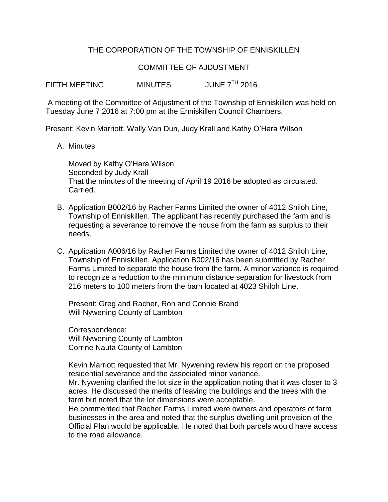## THE CORPORATION OF THE TOWNSHIP OF ENNISKILLEN

## COMMITTEE OF AJDUSTMENT

FIFTH MEETING MINUTES JUNE 7<sup>TH</sup> 2016

A meeting of the Committee of Adjustment of the Township of Enniskillen was held on Tuesday June 7 2016 at 7:00 pm at the Enniskillen Council Chambers.

Present: Kevin Marriott, Wally Van Dun, Judy Krall and Kathy O'Hara Wilson

A. Minutes

Moved by Kathy O'Hara Wilson Seconded by Judy Krall That the minutes of the meeting of April 19 2016 be adopted as circulated. Carried.

- B. Application B002/16 by Racher Farms Limited the owner of 4012 Shiloh Line, Township of Enniskillen. The applicant has recently purchased the farm and is requesting a severance to remove the house from the farm as surplus to their needs.
- C. Application A006/16 by Racher Farms Limited the owner of 4012 Shiloh Line, Township of Enniskillen. Application B002/16 has been submitted by Racher Farms Limited to separate the house from the farm. A minor variance is required to recognize a reduction to the minimum distance separation for livestock from 216 meters to 100 meters from the barn located at 4023 Shiloh Line.

Present: Greg and Racher, Ron and Connie Brand Will Nywening County of Lambton

Correspondence: Will Nywening County of Lambton Corrine Nauta County of Lambton

Kevin Marriott requested that Mr. Nywening review his report on the proposed residential severance and the associated minor variance.

Mr. Nywening clarified the lot size in the application noting that it was closer to 3 acres. He discussed the merits of leaving the buildings and the trees with the farm but noted that the lot dimensions were acceptable.

He commented that Racher Farms Limited were owners and operators of farm businesses in the area and noted that the surplus dwelling unit provision of the Official Plan would be applicable. He noted that both parcels would have access to the road allowance.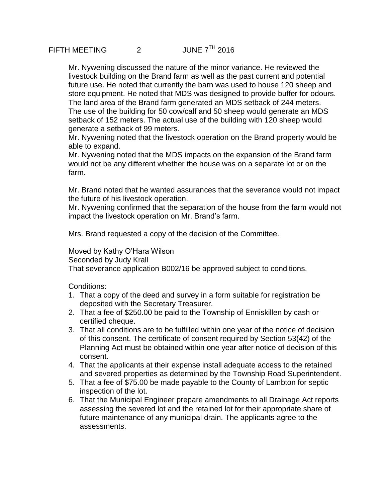Mr. Nywening discussed the nature of the minor variance. He reviewed the livestock building on the Brand farm as well as the past current and potential future use. He noted that currently the barn was used to house 120 sheep and store equipment. He noted that MDS was designed to provide buffer for odours. The land area of the Brand farm generated an MDS setback of 244 meters. The use of the building for 50 cow/calf and 50 sheep would generate an MDS setback of 152 meters. The actual use of the building with 120 sheep would generate a setback of 99 meters.

Mr. Nywening noted that the livestock operation on the Brand property would be able to expand.

Mr. Nywening noted that the MDS impacts on the expansion of the Brand farm would not be any different whether the house was on a separate lot or on the farm.

Mr. Brand noted that he wanted assurances that the severance would not impact the future of his livestock operation.

Mr. Nywening confirmed that the separation of the house from the farm would not impact the livestock operation on Mr. Brand's farm.

Mrs. Brand requested a copy of the decision of the Committee.

Moved by Kathy O'Hara Wilson Seconded by Judy Krall That severance application B002/16 be approved subject to conditions.

Conditions:

- 1. That a copy of the deed and survey in a form suitable for registration be deposited with the Secretary Treasurer.
- 2. That a fee of \$250.00 be paid to the Township of Enniskillen by cash or certified cheque.
- 3. That all conditions are to be fulfilled within one year of the notice of decision of this consent. The certificate of consent required by Section 53(42) of the Planning Act must be obtained within one year after notice of decision of this consent.
- 4. That the applicants at their expense install adequate access to the retained and severed properties as determined by the Township Road Superintendent.
- 5. That a fee of \$75.00 be made payable to the County of Lambton for septic inspection of the lot.
- 6. That the Municipal Engineer prepare amendments to all Drainage Act reports assessing the severed lot and the retained lot for their appropriate share of future maintenance of any municipal drain. The applicants agree to the assessments.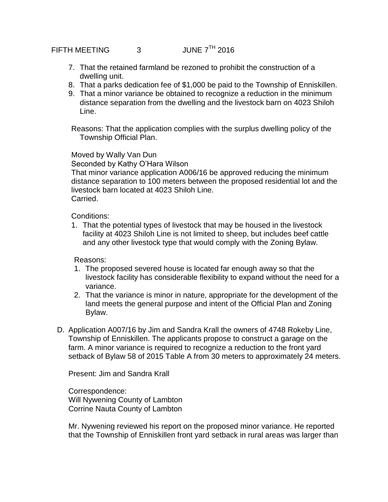## FIFTH MEETING 3 JUNE 7<sup>TH</sup> 2016

- 7. That the retained farmland be rezoned to prohibit the construction of a dwelling unit.
- 8. That a parks dedication fee of \$1,000 be paid to the Township of Enniskillen.
- 9. That a minor variance be obtained to recognize a reduction in the minimum distance separation from the dwelling and the livestock barn on 4023 Shiloh Line.

Reasons: That the application complies with the surplus dwelling policy of the Township Official Plan.

Moved by Wally Van Dun

Seconded by Kathy O'Hara Wilson

That minor variance application A006/16 be approved reducing the minimum distance separation to 100 meters between the proposed residential lot and the livestock barn located at 4023 Shiloh Line. Carried.

Conditions:

1. That the potential types of livestock that may be housed in the livestock facility at 4023 Shiloh Line is not limited to sheep, but includes beef cattle and any other livestock type that would comply with the Zoning Bylaw.

Reasons:

- 1. The proposed severed house is located far enough away so that the livestock facility has considerable flexibility to expand without the need for a variance.
- 2. That the variance is minor in nature, appropriate for the development of the land meets the general purpose and intent of the Official Plan and Zoning Bylaw.
- D. Application A007/16 by Jim and Sandra Krall the owners of 4748 Rokeby Line, Township of Enniskillen. The applicants propose to construct a garage on the farm. A minor variance is required to recognize a reduction to the front yard setback of Bylaw 58 of 2015 Table A from 30 meters to approximately 24 meters.

Present: Jim and Sandra Krall

Correspondence: Will Nywening County of Lambton Corrine Nauta County of Lambton

Mr. Nywening reviewed his report on the proposed minor variance. He reported that the Township of Enniskillen front yard setback in rural areas was larger than